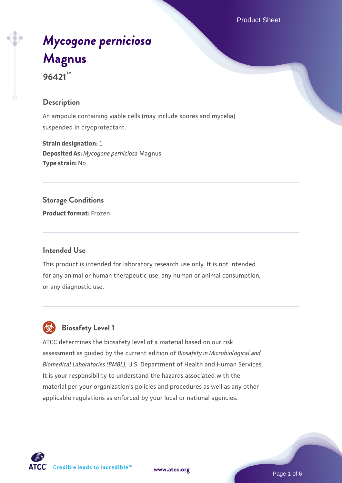Product Sheet

# *[Mycogone perniciosa](https://www.atcc.org/products/96421)* **[Magnus](https://www.atcc.org/products/96421) 96421™**

## **Description**

An ampoule containing viable cells (may include spores and mycelia) suspended in cryoprotectant.

**Strain designation:** 1 **Deposited As:** *Mycogone perniciosa* Magnus **Type strain:** No

#### **Storage Conditions**

**Product format:** Frozen

## **Intended Use**

This product is intended for laboratory research use only. It is not intended for any animal or human therapeutic use, any human or animal consumption, or any diagnostic use.



## **Biosafety Level 1**

ATCC determines the biosafety level of a material based on our risk assessment as guided by the current edition of *Biosafety in Microbiological and Biomedical Laboratories (BMBL)*, U.S. Department of Health and Human Services. It is your responsibility to understand the hazards associated with the material per your organization's policies and procedures as well as any other applicable regulations as enforced by your local or national agencies.

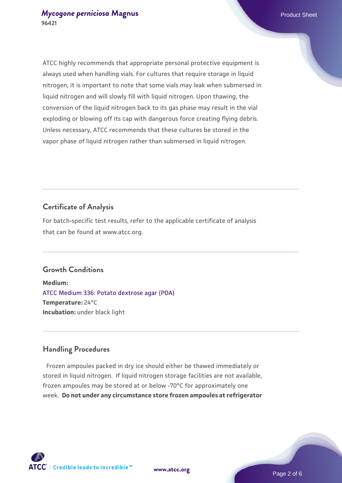ATCC highly recommends that appropriate personal protective equipment is always used when handling vials. For cultures that require storage in liquid nitrogen, it is important to note that some vials may leak when submersed in liquid nitrogen and will slowly fill with liquid nitrogen. Upon thawing, the conversion of the liquid nitrogen back to its gas phase may result in the vial exploding or blowing off its cap with dangerous force creating flying debris. Unless necessary, ATCC recommends that these cultures be stored in the vapor phase of liquid nitrogen rather than submersed in liquid nitrogen.

## **Certificate of Analysis**

For batch-specific test results, refer to the applicable certificate of analysis that can be found at www.atcc.org.

#### **Growth Conditions**

**Medium:**  [ATCC Medium 336: Potato dextrose agar \(PDA\)](https://www.atcc.org/-/media/product-assets/documents/microbial-media-formulations/3/3/6/atcc-medium-336.pdf?rev=d9160ad44d934cd8b65175461abbf3b9) **Temperature:** 24°C **Incubation:** under black light

#### **Handling Procedures**

Frozen ampoules packed in dry ice should either be thawed immediately or stored in liquid nitrogen. If liquid nitrogen storage facilities are not available, frozen ampoules may be stored at or below -70°C for approximately one week. **Do not under any circumstance store frozen ampoules at refrigerator**

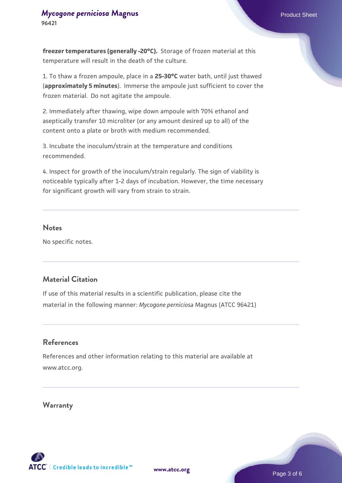**freezer temperatures (generally -20°C).** Storage of frozen material at this temperature will result in the death of the culture.

1. To thaw a frozen ampoule, place in a **25-30°C** water bath, until just thawed (**approximately 5 minutes**). Immerse the ampoule just sufficient to cover the frozen material. Do not agitate the ampoule.

2. Immediately after thawing, wipe down ampoule with 70% ethanol and aseptically transfer 10 microliter (or any amount desired up to all) of the content onto a plate or broth with medium recommended.

3. Incubate the inoculum/strain at the temperature and conditions recommended.

4. Inspect for growth of the inoculum/strain regularly. The sign of viability is noticeable typically after 1-2 days of incubation. However, the time necessary for significant growth will vary from strain to strain.

#### **Notes**

No specific notes.

## **Material Citation**

If use of this material results in a scientific publication, please cite the material in the following manner: *Mycogone perniciosa* Magnus (ATCC 96421)

### **References**

References and other information relating to this material are available at www.atcc.org.

#### **Warranty**

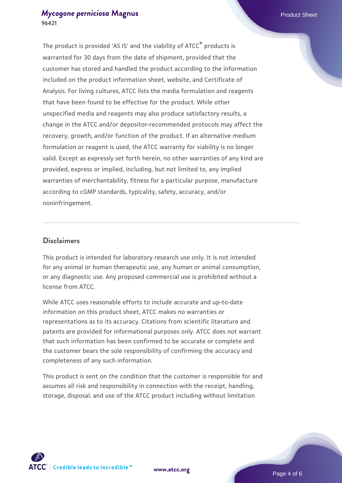## *[Mycogone perniciosa](https://www.atcc.org/products/96421)* [Magnus](https://www.atcc.org/products/96421)<br>
Product Sheet **96421**

The product is provided 'AS IS' and the viability of ATCC® products is warranted for 30 days from the date of shipment, provided that the customer has stored and handled the product according to the information included on the product information sheet, website, and Certificate of Analysis. For living cultures, ATCC lists the media formulation and reagents that have been found to be effective for the product. While other unspecified media and reagents may also produce satisfactory results, a change in the ATCC and/or depositor-recommended protocols may affect the recovery, growth, and/or function of the product. If an alternative medium formulation or reagent is used, the ATCC warranty for viability is no longer valid. Except as expressly set forth herein, no other warranties of any kind are provided, express or implied, including, but not limited to, any implied warranties of merchantability, fitness for a particular purpose, manufacture according to cGMP standards, typicality, safety, accuracy, and/or noninfringement.

#### **Disclaimers**

This product is intended for laboratory research use only. It is not intended for any animal or human therapeutic use, any human or animal consumption, or any diagnostic use. Any proposed commercial use is prohibited without a license from ATCC.

While ATCC uses reasonable efforts to include accurate and up-to-date information on this product sheet, ATCC makes no warranties or representations as to its accuracy. Citations from scientific literature and patents are provided for informational purposes only. ATCC does not warrant that such information has been confirmed to be accurate or complete and the customer bears the sole responsibility of confirming the accuracy and completeness of any such information.

This product is sent on the condition that the customer is responsible for and assumes all risk and responsibility in connection with the receipt, handling, storage, disposal, and use of the ATCC product including without limitation



**[www.atcc.org](http://www.atcc.org)**

Page 4 of 6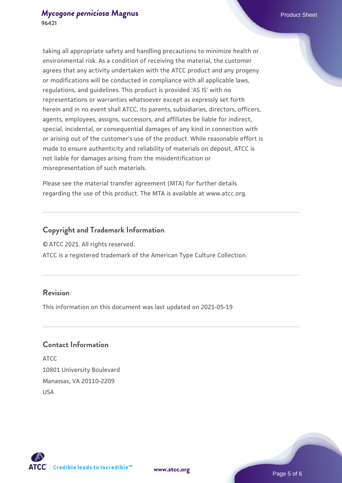taking all appropriate safety and handling precautions to minimize health or environmental risk. As a condition of receiving the material, the customer agrees that any activity undertaken with the ATCC product and any progeny or modifications will be conducted in compliance with all applicable laws, regulations, and guidelines. This product is provided 'AS IS' with no representations or warranties whatsoever except as expressly set forth herein and in no event shall ATCC, its parents, subsidiaries, directors, officers, agents, employees, assigns, successors, and affiliates be liable for indirect, special, incidental, or consequential damages of any kind in connection with or arising out of the customer's use of the product. While reasonable effort is made to ensure authenticity and reliability of materials on deposit, ATCC is not liable for damages arising from the misidentification or misrepresentation of such materials.

Please see the material transfer agreement (MTA) for further details regarding the use of this product. The MTA is available at www.atcc.org.

## **Copyright and Trademark Information**

© ATCC 2021. All rights reserved.

ATCC is a registered trademark of the American Type Culture Collection.

#### **Revision**

This information on this document was last updated on 2021-05-19

### **Contact Information**

ATCC 10801 University Boulevard Manassas, VA 20110-2209 USA